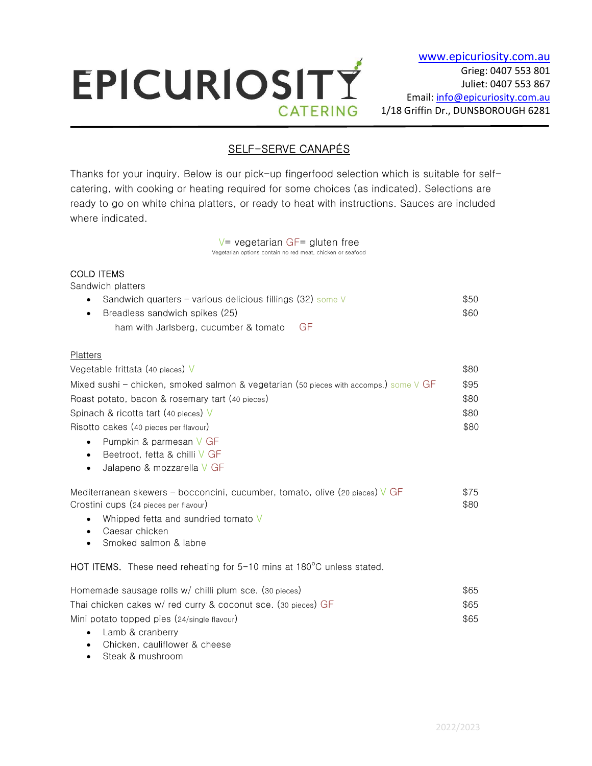# EPICURIOSITY **CATERING**

# SELF-SERVE CANAPÉS

Thanks for your inquiry. Below is our pick-up fingerfood selection which is suitable for selfcatering, with cooking or heating required for some choices (as indicated). Selections are ready to go on white china platters, or ready to heat with instructions. Sauces are included where indicated.

> $V=$  vegetarian GF= gluten free Vegetarian options contain no red meat, chicken or seafood

# COLD ITEMS

 $\overline{a}$ 

Sandwich platters

| • Sandwich quarters – various delicious fillings (32) some $\vee$ | \$50 |
|-------------------------------------------------------------------|------|
| • Breadless sandwich spikes (25)                                  | \$60 |
| ham with Jarlsberg, cucumber & tomato GF                          |      |

## Platters

| Vegetable frittata (40 pieces) $\vee$                                                      | \$80 |
|--------------------------------------------------------------------------------------------|------|
| Mixed sushi - chicken, smoked salmon & vegetarian (50 pieces with accomps.) some $\vee$ GF |      |
| Roast potato, bacon & rosemary tart (40 pieces)                                            | \$80 |
| Spinach & ricotta tart (40 pieces) V                                                       |      |
| Risotto cakes (40 pieces per flavour)                                                      |      |
|                                                                                            |      |

- Pumpkin & parmesan V GF
- Beetroot, fetta & chilli V GF
- Jalapeno & mozzarella V GF

| Mediterranean skewers – bocconcini, cucumber, tomato, olive (20 pieces) $\sqrt{GF}$ | \$75 |
|-------------------------------------------------------------------------------------|------|
| Crostini cups (24 pieces per flavour)                                               | \$80 |
|                                                                                     |      |

- Whipped fetta and sundried tomato V
- Caesar chicken
- Smoked salmon & labne

HOT ITEMS. These need reheating for  $5-10$  mins at 180 $^{\circ}$ C unless stated.

| Homemade sausage rolls w/ chilli plum sce. (30 pieces)        | \$65 |
|---------------------------------------------------------------|------|
| Thai chicken cakes w/ red curry & coconut sce. (30 pieces) GF | \$65 |
| Mini potato topped pies (24/single flavour)                   | \$65 |

- Lamb & cranberry
- Chicken, cauliflower & cheese
- Steak & mushroom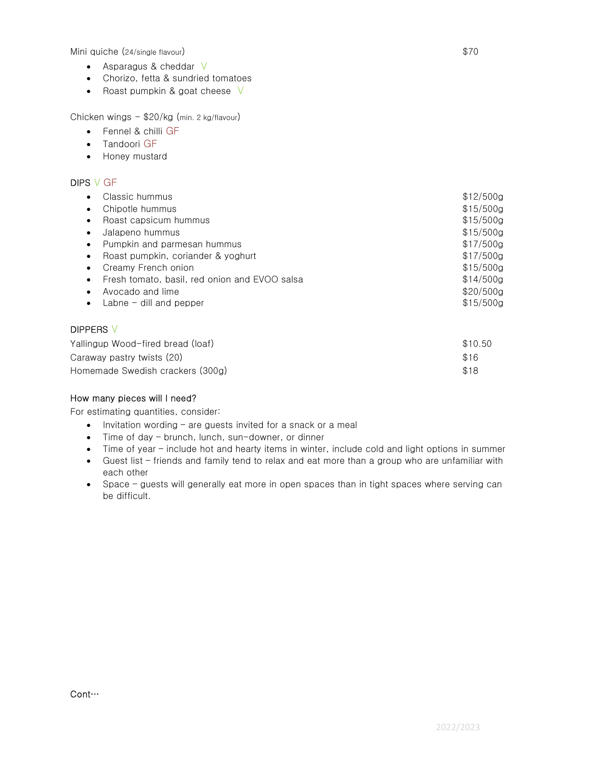Mini quiche (24/single flavour)  $$70$ 

- Asparagus & cheddar V
- Chorizo, fetta & sundried tomatoes
- Roast pumpkin & goat cheese  $V$

Chicken wings - \$20/kg (min. 2 kg/flavour)

- Fennel & chilli GF
- **•** Tandoori GF
- Honey mustard

### DIPS V GF

| Classic hummus                                | \$12/500g |
|-----------------------------------------------|-----------|
| Chipotle hummus                               | \$15/500g |
| Roast capsicum hummus                         | \$15/500q |
| Jalapeno hummus                               | \$15/500g |
| Pumpkin and parmesan hummus<br>$\bullet$      | \$17/500g |
| Roast pumpkin, coriander & yoghurt            | \$17/500a |
| Creamy French onion                           | \$15/500g |
| Fresh tomato, basil, red onion and EVOO salsa | \$14/500a |
| Avocado and lime                              | \$20/500g |
| Labne $-$ dill and pepper                     | \$15/500g |
|                                               |           |

# DIPPERS V

| Yallingup Wood-fired bread (loaf) | \$10.50 |
|-----------------------------------|---------|
| Caraway pastry twists (20)        | \$16    |
| Homemade Swedish crackers (300g)  | \$18    |

#### How many pieces will I need?

For estimating quantities, consider:

- $\bullet$  Invitation wording are guests invited for a snack or a meal
- Time of day brunch, lunch, sun-downer, or dinner
- Time of year include hot and hearty items in winter, include cold and light options in summer
- Guest list friends and family tend to relax and eat more than a group who are unfamiliar with each other
- Space guests will generally eat more in open spaces than in tight spaces where serving can be difficult.